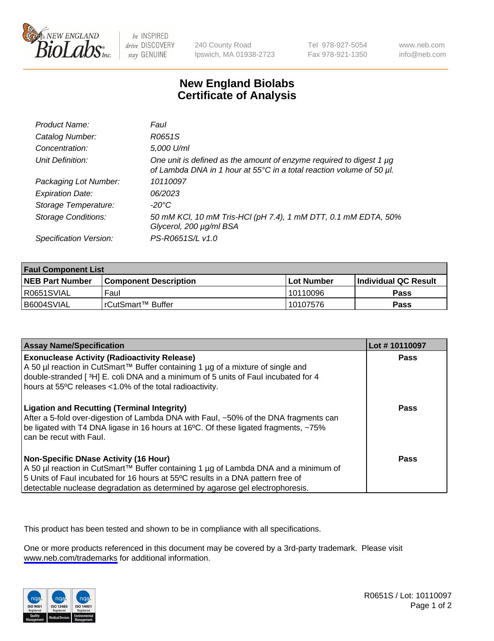

be INSPIRED drive DISCOVERY stay GENUINE

240 County Road Ipswich, MA 01938-2723 Tel 978-927-5054 Fax 978-921-1350

www.neb.com info@neb.com

## **New England Biolabs Certificate of Analysis**

| Product Name:              | Faul                                                                                                                                        |
|----------------------------|---------------------------------------------------------------------------------------------------------------------------------------------|
| Catalog Number:            | R0651S                                                                                                                                      |
| Concentration:             | 5,000 U/ml                                                                                                                                  |
| Unit Definition:           | One unit is defined as the amount of enzyme required to digest 1 µg<br>of Lambda DNA in 1 hour at 55°C in a total reaction volume of 50 µl. |
| Packaging Lot Number:      | 10110097                                                                                                                                    |
| <b>Expiration Date:</b>    | 06/2023                                                                                                                                     |
| Storage Temperature:       | -20°C                                                                                                                                       |
| <b>Storage Conditions:</b> | 50 mM KCl, 10 mM Tris-HCl (pH 7.4), 1 mM DTT, 0.1 mM EDTA, 50%<br>Glycerol, 200 µg/ml BSA                                                   |
| Specification Version:     | PS-R0651S/L v1.0                                                                                                                            |

| <b>Faul Component List</b> |                              |              |                       |  |
|----------------------------|------------------------------|--------------|-----------------------|--|
| <b>NEB Part Number</b>     | <b>Component Description</b> | l Lot Number | ∣Individual QC Result |  |
| R0651SVIAL                 | Faul                         | 10110096     | Pass                  |  |
| B6004SVIAL                 | l rCutSmart™ Buffer          | 10107576     | Pass                  |  |

| <b>Assay Name/Specification</b>                                                                                                                                                                                                                                                                           | Lot #10110097 |
|-----------------------------------------------------------------------------------------------------------------------------------------------------------------------------------------------------------------------------------------------------------------------------------------------------------|---------------|
| <b>Exonuclease Activity (Radioactivity Release)</b><br>A 50 µl reaction in CutSmart™ Buffer containing 1 µg of a mixture of single and<br>double-stranded [3H] E. coli DNA and a minimum of 5 units of Faul incubated for 4<br>hours at 55°C releases <1.0% of the total radioactivity.                   | Pass          |
| <b>Ligation and Recutting (Terminal Integrity)</b><br>After a 5-fold over-digestion of Lambda DNA with Faul, ~50% of the DNA fragments can<br>be ligated with T4 DNA ligase in 16 hours at 16°C. Of these ligated fragments, ~75%<br>I can be recut with Faul.                                            | Pass          |
| <b>Non-Specific DNase Activity (16 Hour)</b><br>  A 50 µl reaction in CutSmart™ Buffer containing 1 µg of Lambda DNA and a minimum of<br>5 Units of Faul incubated for 16 hours at 55°C results in a DNA pattern free of<br>detectable nuclease degradation as determined by agarose gel electrophoresis. | Pass          |

This product has been tested and shown to be in compliance with all specifications.

One or more products referenced in this document may be covered by a 3rd-party trademark. Please visit <www.neb.com/trademarks>for additional information.